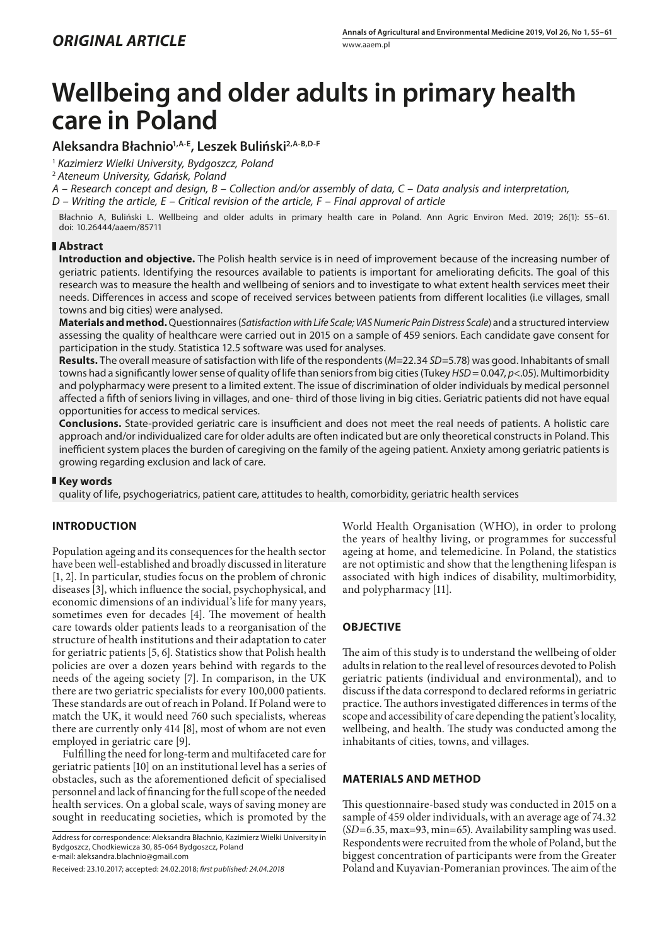# **Wellbeing and older adults in primary health care in Poland**

# **Aleksandra Błachnio1,A-E, Leszek Buliński2,A-B,D-F**

<sup>1</sup> *Kazimierz Wielki University, Bydgoszcz, Poland*

<sup>2</sup> *Ateneum University, Gdańsk, Poland*

*A – Research concept and design, B – Collection and/or assembly of data, C – Data analysis and interpretation,* 

*D – Writing the article, E – Critical revision of the article, F – Final approval of article*

Błachnio A, Buliński L. Wellbeing and older adults in primary health care in Poland. Ann Agric Environ Med. 2019; 26(1): 55–61. doi: 10.26444/aaem/85711

## **Abstract**

**Introduction and objective.** The Polish health service is in need of improvement because of the increasing number of geriatric patients. Identifying the resources available to patients is important for ameliorating deficits. The goal of this research was to measure the health and wellbeing of seniors and to investigate to what extent health services meet their needs. Differences in access and scope of received services between patients from different localities (i.e villages, small towns and big cities) were analysed.

**Materials and method.** Questionnaires (*Satisfaction with Life Scale; VAS Numeric Pain Distress Scale*) and a structured interview assessing the quality of healthcare were carried out in 2015 on a sample of 459 seniors. Each candidate gave consent for participation in the study. Statistica 12.5 software was used for analyses.

**Results.** The overall measure of satisfaction with life of the respondents (*M*=22.34 *SD*=5.78) was good. Inhabitants of small towns had a significantly lower sense of quality of life than seniors from big cities (Tukey *HSD* = 0.047, *p*<.05). Multimorbidity and polypharmacy were present to a limited extent. The issue of discrimination of older individuals by medical personnel affected a fifth of seniors living in villages, and one- third of those living in big cities. Geriatric patients did not have equal opportunities for access to medical services.

**Conclusions.** State-provided geriatric care is insufficient and does not meet the real needs of patients. A holistic care approach and/or individualized care for older adults are often indicated but are only theoretical constructs in Poland. This inefficient system places the burden of caregiving on the family of the ageing patient. Anxiety among geriatric patients is growing regarding exclusion and lack of care.

## **Key words**

quality of life, psychogeriatrics, patient care, attitudes to health, comorbidity, geriatric health services

# **INTRODUCTION**

Population ageing and its consequences for the health sector have been well-established and broadly discussed in literature [1, 2]. In particular, studies focus on the problem of chronic diseases [3], which influence the social, psychophysical, and economic dimensions of an individual's life for many years, sometimes even for decades [4]. The movement of health care towards older patients leads to a reorganisation of the structure of health institutions and their adaptation to cater for geriatric patients [5, 6]. Statistics show that Polish health policies are over a dozen years behind with regards to the needs of the ageing society [7]. In comparison, in the UK there are two geriatric specialists for every 100,000 patients. These standards are out of reach in Poland. If Poland were to match the UK, it would need 760 such specialists, whereas there are currently only 414 [8], most of whom are not even employed in geriatric care [9].

Fulfilling the need for long-term and multifaceted care for geriatric patients [10] on an institutional level has a series of obstacles, such as the aforementioned deficit of specialised personnel and lack of financing for the full scope of the needed health services. On a global scale, ways of saving money are sought in reeducating societies, which is promoted by the World Health Organisation (WHO), in order to prolong the years of healthy living, or programmes for successful ageing at home, and telemedicine. In Poland, the statistics are not optimistic and show that the lengthening lifespan is associated with high indices of disability, multimorbidity, and polypharmacy [11].

## **OBJECTIVE**

The aim of this study is to understand the wellbeing of older adults in relation to the real level of resources devoted to Polish geriatric patients (individual and environmental), and to discuss if the data correspond to declared reforms in geriatric practice. The authors investigated differences in terms of the scope and accessibility of care depending the patient's locality, wellbeing, and health. The study was conducted among the inhabitants of cities, towns, and villages.

## **MATERIALS AND METHOD**

This questionnaire-based study was conducted in 2015 on a sample of 459 older individuals, with an average age of 74.32 (*SD*=6.35, max=93, min=65). Availability sampling was used. Respondents were recruited from the whole of Poland, but the biggest concentration of participants were from the Greater Poland and Kuyavian-Pomeranian provinces. The aim of the

Address for correspondence: Aleksandra Błachnio, Kazimierz Wielki University in Bydgoszcz, Chodkiewicza 30, 85-064 Bydgoszcz, Poland e-mail: aleksandra.blachnio@gmail.com

Received: 23.10.2017; accepted: 24.02.2018; *first published: 24.04.2018*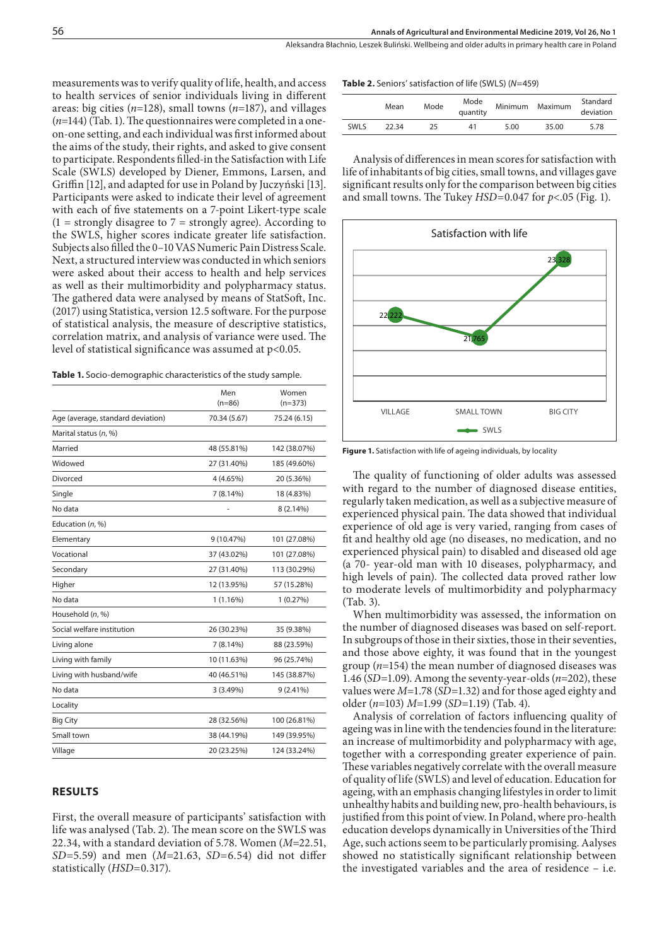measurements was to verify quality of life, health, and access to health services of senior individuals living in different areas: big cities (*n*=128), small towns (*n*=187), and villages (*n*=144) (Tab. 1). The questionnaires were completed in a oneon-one setting, and each individual was first informed about the aims of the study, their rights, and asked to give consent to participate. Respondents filled-in the Satisfaction with Life Scale (SWLS) developed by Diener, Emmons, Larsen, and Griffin [12], and adapted for use in Poland by Juczyński [13]. Participants were asked to indicate their level of agreement with each of five statements on a 7-point Likert-type scale  $(1 =$  strongly disagree to  $7 =$  strongly agree). According to the SWLS, higher scores indicate greater life satisfaction. Subjects also filled the 0–10 VAS Numeric Pain Distress Scale. Next, a structured interview was conducted in which seniors were asked about their access to health and help services as well as their multimorbidity and polypharmacy status. The gathered data were analysed by means of StatSoft, Inc. (2017) using Statistica, version 12.5 software. For the purpose of statistical analysis, the measure of descriptive statistics, correlation matrix, and analysis of variance were used. The level of statistical significance was assumed at p<0.05.

**Table 1.** Socio-demographic characteristics of the study sample.

|                                   | Men          | Women        |
|-----------------------------------|--------------|--------------|
|                                   | $(n=86)$     | $(n=373)$    |
| Age (average, standard deviation) | 70.34 (5.67) | 75.24 (6.15) |
| Marital status (n, %)             |              |              |
| Married                           | 48 (55.81%)  | 142 (38.07%) |
| Widowed                           | 27 (31.40%)  | 185 (49.60%) |
| Divorced                          | 4 (4.65%)    | 20 (5.36%)   |
| Single                            | 7(8.14%)     | 18 (4.83%)   |
| No data                           |              | 8 (2.14%)    |
| Education $(n, %)$                |              |              |
| Elementary                        | 9 (10.47%)   | 101 (27.08%) |
| Vocational                        | 37 (43.02%)  | 101 (27.08%) |
| Secondary                         | 27 (31.40%)  | 113 (30.29%) |
| Higher                            | 12 (13.95%)  | 57 (15.28%)  |
| No data                           | 1(1.16%)     | 1(0.27%)     |
| Household (n, %)                  |              |              |
| Social welfare institution        | 26 (30.23%)  | 35 (9.38%)   |
| Living alone                      | 7(8.14%)     | 88 (23.59%)  |
| Living with family                | 10 (11.63%)  | 96 (25.74%)  |
| Living with husband/wife          | 40 (46.51%)  | 145 (38.87%) |
| No data                           | 3 (3.49%)    | $9(2.41\%)$  |
| Locality                          |              |              |
| <b>Big City</b>                   | 28 (32.56%)  | 100 (26.81%) |
| Small town                        | 38 (44.19%)  | 149 (39.95%) |
| Village                           | 20 (23.25%)  | 124 (33.24%) |
|                                   |              |              |

## **RESULTS**

First, the overall measure of participants' satisfaction with life was analysed (Tab. 2). The mean score on the SWLS was 22.34, with a standard deviation of 5.78. Women (*M*=22.51, *SD*=5.59) and men (*M*=21.63, *SD*=6.54) did not differ statistically (*HSD*=0.317).

#### **Table 2.** Seniors' satisfaction of life (SWLS) (*N*=459)

|       | Mean  | Mode | Mode<br>quantity |      | Minimum Maximum | Standard<br>deviation |
|-------|-------|------|------------------|------|-----------------|-----------------------|
| SWI S | 22.34 | 25   | 41               | 5.00 | 35.00           | 5.78                  |

Analysis of differences in mean scores for satisfaction with life of inhabitants of big cities, small towns, and villages gave significant results only for the comparison between big cities and small towns. The Tukey *HSD*=0.047 for *p*<.05 (Fig. 1).



**Figure 1.** Satisfaction with life of ageing individuals, by locality

The quality of functioning of older adults was assessed with regard to the number of diagnosed disease entities, regularly taken medication, as well as a subjective measure of experienced physical pain. The data showed that individual experience of old age is very varied, ranging from cases of fit and healthy old age (no diseases, no medication, and no experienced physical pain) to disabled and diseased old age (a 70- year-old man with 10 diseases, polypharmacy, and high levels of pain). The collected data proved rather low to moderate levels of multimorbidity and polypharmacy (Tab. 3).

When multimorbidity was assessed, the information on the number of diagnosed diseases was based on self-report. In subgroups of those in their sixties, those in their seventies, and those above eighty, it was found that in the youngest group (*n*=154) the mean number of diagnosed diseases was 1.46 (*SD*=1.09). Among the seventy-year-olds (*n*=202), these values were *M*=1.78 (*SD*=1.32) and for those aged eighty and older (*n*=103) *M*=1.99 (*SD*=1.19) (Tab. 4).

Analysis of correlation of factors influencing quality of ageing was in line with the tendencies found in the literature: an increase of multimorbidity and polypharmacy with age, together with a corresponding greater experience of pain. These variables negatively correlate with the overall measure of quality of life (SWLS) and level of education. Education for ageing, with an emphasis changing lifestyles in order to limit unhealthy habits and building new, pro-health behaviours, is justified from this point of view. In Poland, where pro-health education develops dynamically in Universities of the Third Age, such actions seem to be particularly promising. Aalyses showed no statistically significant relationship between the investigated variables and the area of residence – i.e.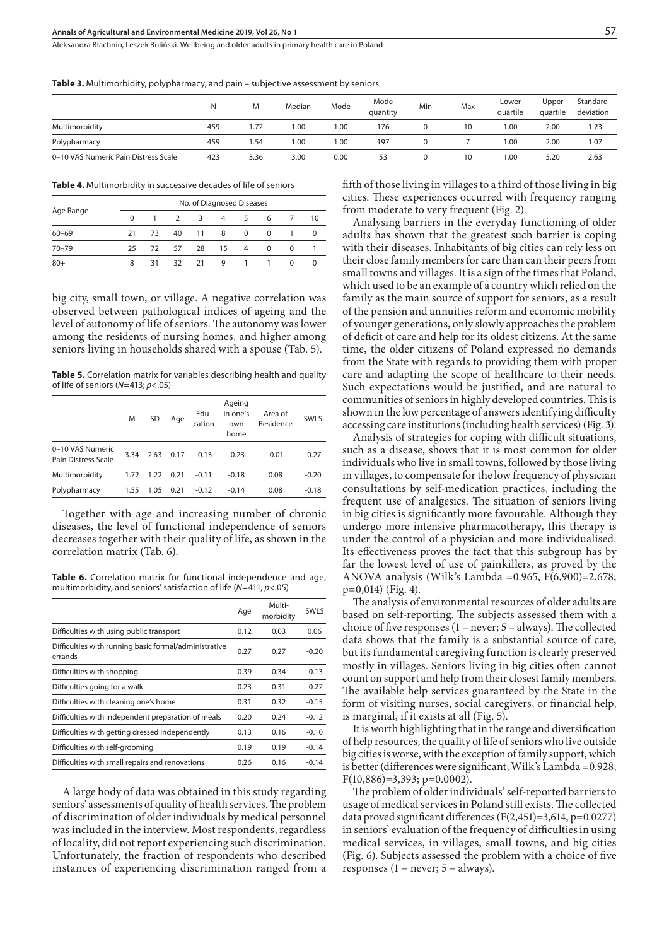#### **Annals of Agricultural and Environmental Medicine 2019, Vol 26, No 1**

Aleksandra Błachnio, Leszek Buliński . Wellbeing and older adults in primary health care in Poland

|  |  |  |  |  |  |  | <b>Table 3.</b> Multimorbidity, polypharmacy, and pain – subjective assessment by seniors |  |  |  |  |  |  |  |  |  |  |
|--|--|--|--|--|--|--|-------------------------------------------------------------------------------------------|--|--|--|--|--|--|--|--|--|--|
|--|--|--|--|--|--|--|-------------------------------------------------------------------------------------------|--|--|--|--|--|--|--|--|--|--|

|                                      | N   | M    | Median | Mode | Mode<br>quantity | Min | Max | Lower<br>quartile | Upper<br>quartile | Standard<br>deviation |
|--------------------------------------|-----|------|--------|------|------------------|-----|-----|-------------------|-------------------|-----------------------|
| Multimorbidity                       | 459 | . 72 | 00.1   | 1.00 | 176              |     | 10  | 00.1              | 2.00              | 1.23                  |
| Polypharmacy                         | 459 | .54  | 1.00   | 1.00 | 197              |     |     | 0.001             | 2.00              | 1.07                  |
| 0-10 VAS Numeric Pain Distress Scale | 423 | 3.36 | 3.00   | 0.00 | 53               |     | 10  | 00.1              | 5.20              | 2.63                  |

**Table 4.** Multimorbidity in successive decades of life of seniors

|           |     |                |               |                | No. of Diagnosed Diseases |                |          |          |    |
|-----------|-----|----------------|---------------|----------------|---------------------------|----------------|----------|----------|----|
| Age Range | 0   | $\overline{1}$ | $\mathcal{P}$ | $\overline{3}$ | $\overline{4}$            | 5              | 6        |          | 10 |
| $60 - 69$ | 21  | 73             | 40            | 11             | 8                         | $\Omega$       | $\Omega$ |          | 0  |
| $70 - 79$ | 25. | 72             | 57            | 28             | 15                        | $\overline{4}$ | $\Omega$ | 0        |    |
| $80+$     | 8   | 31             | 32            | 21             | 9                         | $\overline{1}$ |          | $\Omega$ | 0  |

big city, small town, or village. A negative correlation was observed between pathological indices of ageing and the level of autonomy of life of seniors. The autonomy was lower among the residents of nursing homes, and higher among seniors living in households shared with a spouse (Tab. 5).

**Table 5.** Correlation matrix for variables describing health and quality of life of seniors (*N*=413; *p*<.05)

|                                         | M    | <b>SD</b> | Age  | Edu-<br>cation | Ageing<br>in one's<br>own<br>home | Area of<br>Residence | <b>SWLS</b> |
|-----------------------------------------|------|-----------|------|----------------|-----------------------------------|----------------------|-------------|
| 0-10 VAS Numeric<br>Pain Distress Scale | 3.34 | 2.63      | 0.17 | $-0.13$        | $-0.23$                           | $-0.01$              | $-0.27$     |
| Multimorbidity                          | 1.72 | 1.22      | 0.21 | $-0.11$        | $-0.18$                           | 0.08                 | $-0.20$     |
| Polypharmacy                            | 1.55 | 1.05      | 0.21 | $-0.12$        | $-0.14$                           | 0.08                 | $-0.18$     |

Together with age and increasing number of chronic diseases, the level of functional independence of seniors decreases together with their quality of life, as shown in the correlation matrix (Tab. 6).

**Table 6.** Correlation matrix for functional independence and age, multimorbidity, and seniors' satisfaction of life (*N*=411, *p*<.05)

|                                                                  | Age  | Multi-<br>morbidity | <b>SWLS</b> |
|------------------------------------------------------------------|------|---------------------|-------------|
| Difficulties with using public transport                         | 0.12 | 0.03                | 0.06        |
| Difficulties with running basic formal/administrative<br>errands | 0.27 | 0.27                | $-0.20$     |
| Difficulties with shopping                                       | 0.39 | 0.34                | $-0.13$     |
| Difficulties going for a walk                                    | 0.23 | 0.31                | $-0.22$     |
| Difficulties with cleaning one's home                            | 0.31 | 0.32                | $-0.15$     |
| Difficulties with independent preparation of meals               | 0.20 | 0.24                | $-0.12$     |
| Difficulties with getting dressed independently                  | 0.13 | 0.16                | $-0.10$     |
| Difficulties with self-grooming                                  | 0.19 | 0.19                | $-0.14$     |
| Difficulties with small repairs and renovations                  | 0.26 | 0.16                | $-0.14$     |

A large body of data was obtained in this study regarding seniors' assessments of quality of health services. The problem of discrimination of older individuals by medical personnel was included in the interview. Most respondents, regardless of locality, did not report experiencing such discrimination. Unfortunately, the fraction of respondents who described instances of experiencing discrimination ranged from a

fifth of those living in villages to a third of those living in big cities. These experiences occurred with frequency ranging from moderate to very frequent (Fig. 2).

Analysing barriers in the everyday functioning of older adults has shown that the greatest such barrier is coping with their diseases. Inhabitants of big cities can rely less on their close family members for care than can their peers from small towns and villages. It is a sign of the times that Poland, which used to be an example of a country which relied on the family as the main source of support for seniors, as a result of the pension and annuities reform and economic mobility of younger generations, only slowly approaches the problem of deficit of care and help for its oldest citizens. At the same time, the older citizens of Poland expressed no demands from the State with regards to providing them with proper care and adapting the scope of healthcare to their needs. Such expectations would be justified, and are natural to communities of seniors in highly developed countries. This is shown in the low percentage of answers identifying difficulty accessing care institutions (including health services) (Fig. 3).

Analysis of strategies for coping with difficult situations, such as a disease, shows that it is most common for older individuals who live in small towns, followed by those living in villages, to compensate for the low frequency of physician consultations by self-medication practices, including the frequent use of analgesics. The situation of seniors living in big cities is significantly more favourable. Although they undergo more intensive pharmacotherapy, this therapy is under the control of a physician and more individualised. Its effectiveness proves the fact that this subgroup has by far the lowest level of use of painkillers, as proved by the ANOVA analysis (Wilk's Lambda = 0.965,  $F(6,900) = 2,678$ ; p=0,014) (Fig. 4).

The analysis of environmental resources of older adults are based on self-reporting. The subjects assessed them with a choice of five responses (1 – never; 5 – always). The collected data shows that the family is a substantial source of care, but its fundamental caregiving function is clearly preserved mostly in villages. Seniors living in big cities often cannot count on support and help from their closest family members. The available help services guaranteed by the State in the form of visiting nurses, social caregivers, or financial help, is marginal, if it exists at all (Fig. 5).

It is worth highlighting that in the range and diversification of help resources, the quality of life of seniors who live outside big cities is worse, with the exception of family support, which is better (differences were significant; Wilk's Lambda =0.928, F(10,886)=3,393; p=0.0002).

The problem of older individuals' self-reported barriers to usage of medical services in Poland still exists. The collected data proved significant differences (F(2,451)=3,614, p=0.0277) in seniors' evaluation of the frequency of difficulties in using medical services, in villages, small towns, and big cities (Fig. 6). Subjects assessed the problem with a choice of five responses (1 – never; 5 – always).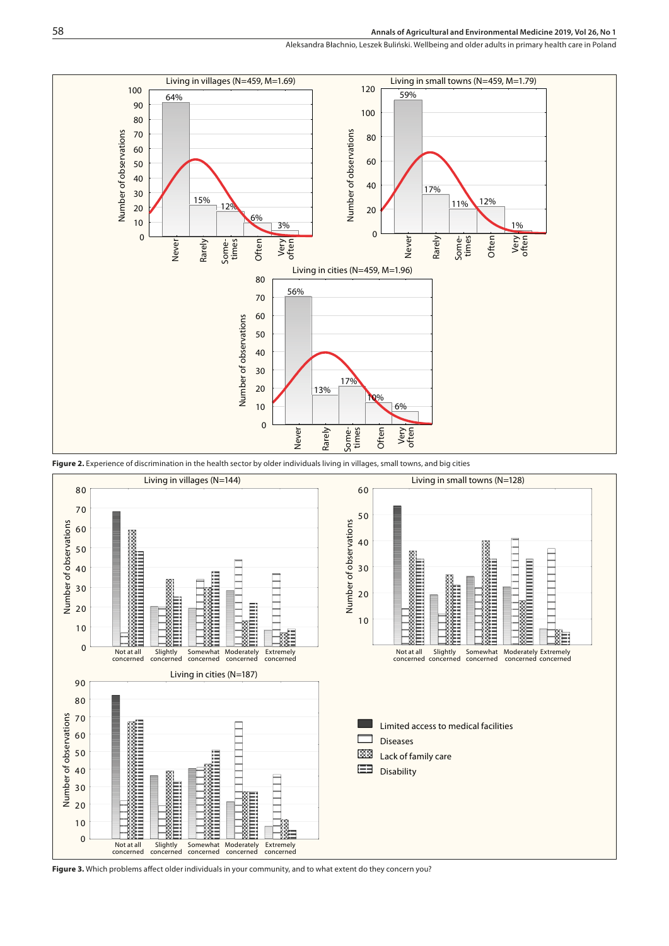## **Annals of Agricultural and Environmental Medicine 2019, Vol 26, No 1**

Aleksandra Błachnio, Leszek Buliński . Wellbeing and older adults in primary health care in Poland



Figure 2. Experience of discrimination in the health sector by older individuals living in villages, small towns, and big cities



**Figure 3.** Which problems affect older individuals in your community, and to what extent do they concern you?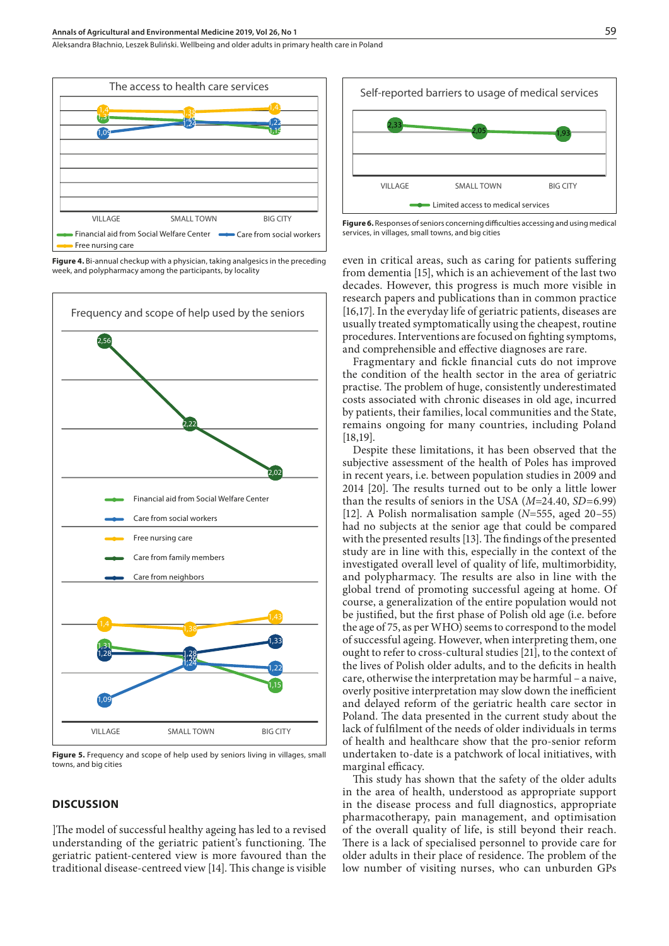#### **Annals of Agricultural and Environmental Medicine 2019, Vol 26, No 1**

Aleksandra Błachnio, Leszek Buliński . Wellbeing and older adults in primary health care in Poland



**Figure 4.** Bi-annual checkup with a physician, taking analgesics in the preceding week, and polypharmacy among the participants, by locality



**Figure 5.** Frequency and scope of help used by seniors living in villages, small towns, and big cities

## **DISCUSSION**

]The model of successful healthy ageing has led to a revised understanding of the geriatric patient's functioning. The geriatric patient-centered view is more favoured than the traditional disease-centreed view [14]. This change is visible



**Figure 6.** Responses of seniors concerning difficulties accessing and using medical services, in villages, small towns, and big cities

even in critical areas, such as caring for patients suffering from dementia [15], which is an achievement of the last two decades. However, this progress is much more visible in research papers and publications than in common practice [16,17]. In the everyday life of geriatric patients, diseases are usually treated symptomatically using the cheapest, routine procedures. Interventions are focused on fighting symptoms, and comprehensible and effective diagnoses are rare.

Fragmentary and fickle financial cuts do not improve the condition of the health sector in the area of geriatric practise. The problem of huge, consistently underestimated costs associated with chronic diseases in old age, incurred by patients, their families, local communities and the State, remains ongoing for many countries, including Poland [18,19].

Despite these limitations, it has been observed that the subjective assessment of the health of Poles has improved in recent years, i.e. between population studies in 2009 and 2014 [20]. The results turned out to be only a little lower than the results of seniors in the USA (*M*=24.40, *SD*=6.99) [12]. A Polish normalisation sample (*N*=555, aged 20–55) had no subjects at the senior age that could be compared with the presented results [13]. The findings of the presented study are in line with this, especially in the context of the investigated overall level of quality of life, multimorbidity, and polypharmacy. The results are also in line with the global trend of promoting successful ageing at home. Of course, a generalization of the entire population would not be justified, but the first phase of Polish old age (i.e. before the age of 75, as per WHO) seems to correspond to the model of successful ageing. However, when interpreting them, one ought to refer to cross-cultural studies [21], to the context of the lives of Polish older adults, and to the deficits in health care, otherwise the interpretation may be harmful – a naive, overly positive interpretation may slow down the inefficient and delayed reform of the geriatric health care sector in Poland. The data presented in the current study about the lack of fulfilment of the needs of older individuals in terms of health and healthcare show that the pro-senior reform undertaken to-date is a patchwork of local initiatives, with marginal efficacy.

This study has shown that the safety of the older adults in the area of health, understood as appropriate support in the disease process and full diagnostics, appropriate pharmacotherapy, pain management, and optimisation of the overall quality of life, is still beyond their reach. There is a lack of specialised personnel to provide care for older adults in their place of residence. The problem of the low number of visiting nurses, who can unburden GPs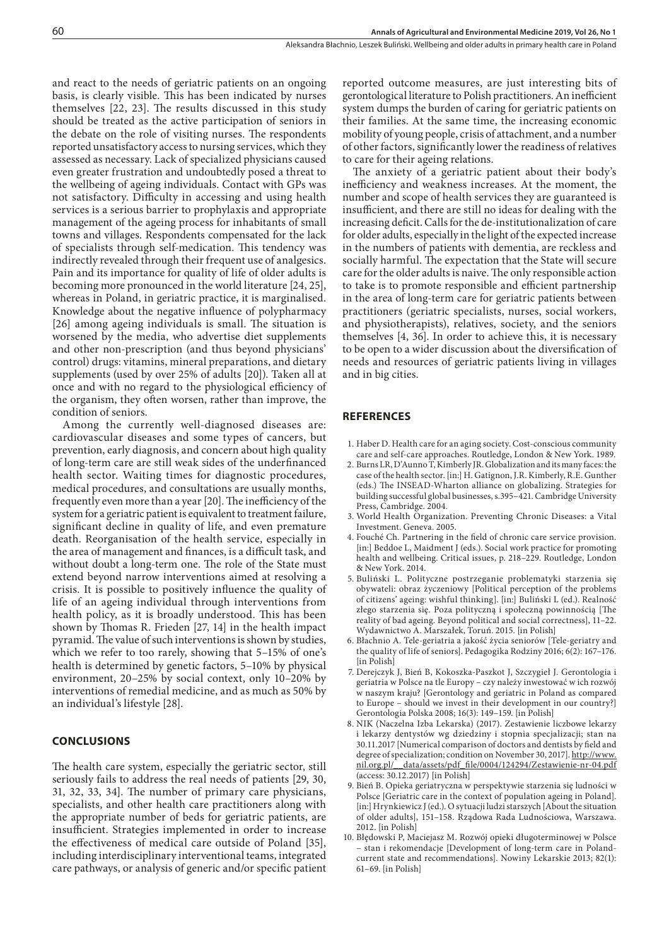and react to the needs of geriatric patients on an ongoing basis, is clearly visible. This has been indicated by nurses themselves [22, 23]. The results discussed in this study should be treated as the active participation of seniors in the debate on the role of visiting nurses. The respondents reported unsatisfactory access to nursing services, which they assessed as necessary. Lack of specialized physicians caused even greater frustration and undoubtedly posed a threat to the wellbeing of ageing individuals. Contact with GPs was not satisfactory. Difficulty in accessing and using health services is a serious barrier to prophylaxis and appropriate management of the ageing process for inhabitants of small towns and villages. Respondents compensated for the lack of specialists through self-medication. This tendency was indirectly revealed through their frequent use of analgesics. Pain and its importance for quality of life of older adults is becoming more pronounced in the world literature [24, 25], whereas in Poland, in geriatric practice, it is marginalised. Knowledge about the negative influence of polypharmacy [26] among ageing individuals is small. The situation is worsened by the media, who advertise diet supplements and other non-prescription (and thus beyond physicians' control) drugs: vitamins, mineral preparations, and dietary supplements (used by over 25% of adults [20]). Taken all at once and with no regard to the physiological efficiency of the organism, they often worsen, rather than improve, the condition of seniors.

Among the currently well-diagnosed diseases are: cardiovascular diseases and some types of cancers, but prevention, early diagnosis, and concern about high quality of long-term care are still weak sides of the underfinanced health sector. Waiting times for diagnostic procedures, medical procedures, and consultations are usually months, frequently even more than a year [20]. The inefficiency of the system for a geriatric patient is equivalent to treatment failure, significant decline in quality of life, and even premature death. Reorganisation of the health service, especially in the area of management and finances, is a difficult task, and without doubt a long-term one. The role of the State must extend beyond narrow interventions aimed at resolving a crisis. It is possible to positively influence the quality of life of an ageing individual through interventions from health policy, as it is broadly understood. This has been shown by Thomas R. Frieden [27, 14] in the health impact pyramid. The value of such interventions is shown by studies, which we refer to too rarely, showing that 5–15% of one's health is determined by genetic factors, 5–10% by physical environment, 20–25% by social context, only 10–20% by interventions of remedial medicine, and as much as 50% by an individual's lifestyle [28].

## **CONCLUSIONS**

The health care system, especially the geriatric sector, still seriously fails to address the real needs of patients [29, 30, 31, 32, 33, 34]. The number of primary care physicians, specialists, and other health care practitioners along with the appropriate number of beds for geriatric patients, are insufficient. Strategies implemented in order to increase the effectiveness of medical care outside of Poland [35], including interdisciplinary interventional teams, integrated care pathways, or analysis of generic and/or specific patient

reported outcome measures, are just interesting bits of gerontological literature to Polish practitioners. An inefficient system dumps the burden of caring for geriatric patients on their families. At the same time, the increasing economic mobility of young people, crisis of attachment, and a number of other factors, significantly lower the readiness of relatives to care for their ageing relations.

The anxiety of a geriatric patient about their body's inefficiency and weakness increases. At the moment, the number and scope of health services they are guaranteed is insufficient, and there are still no ideas for dealing with the increasing deficit. Calls for the de-institutionalization of care for older adults, especially in the light of the expected increase in the numbers of patients with dementia, are reckless and socially harmful. The expectation that the State will secure care for the older adults is naive. The only responsible action to take is to promote responsible and efficient partnership in the area of long-term care for geriatric patients between practitioners (geriatric specialists, nurses, social workers, and physiotherapists), relatives, society, and the seniors themselves [4, 36]. In order to achieve this, it is necessary to be open to a wider discussion about the diversification of needs and resources of geriatric patients living in villages and in big cities.

### **REFERENCES**

- 1. Haber D. Health care for an aging society. Cost-conscious community care and self-care approaches. Routledge, London & New York. 1989.
- 2. Burns LR, D'Aunno T, Kimberly JR. Globalization and its many faces: the case of the health sector. [in:] H. Gatignon, J.R. Kimberly, R.E. Gunther (eds.) The INSEAD-Wharton alliance on globalizing. Strategies for building successful global businesses, s.395–421. Cambridge University Press, Cambridge. 2004.
- 3. World Health Organization. Preventing Chronic Diseases: a Vital Investment. Geneva. 2005.
- 4. Fouché Ch. Partnering in the field of chronic care service provision. [in:] Beddoe L, Maidment J (eds.). Social work practice for promoting health and wellbeing. Critical issues, p. 218–229. Routledge, London & New York. 2014.
- 5. Buliński L. Polityczne postrzeganie problematyki starzenia się obywateli: obraz życzeniowy [Political perception of the problems of citizens' ageing: wishful thinking]. [in:] Buliński L (ed.). Realność złego starzenia się. Poza polityczną i społeczną powinnością [The reality of bad ageing. Beyond political and social correctness], 11–22. Wydawnictwo A. Marszałek, Toruń. 2015. [in Polish]
- 6. Błachnio A. Tele-geriatria a jakość życia seniorów [Tele-geriatry and the quality of life of seniors]. Pedagogika Rodziny 2016; 6(2): 167–176. [in Polish]
- 7. Derejczyk J, Bień B, Kokoszka-Paszkot J, Szczygieł J. Gerontologia i geriatria w Polsce na tle Europy – czy należy inwestować w ich rozwój w naszym kraju? [Gerontology and geriatric in Poland as compared to Europe – should we invest in their development in our country?] Gerontologia Polska 2008; 16(3): 149–159. [in Polish]
- 8. NIK (Naczelna Izba Lekarska) (2017). Zestawienie liczbowe lekarzy i lekarzy dentystów wg dziedziny i stopnia specjalizacji; stan na 30.11.2017 [Numerical comparison of doctors and dentists by field and degree of specialization; condition on November 30, 2017]. [http://www.](http://www.nil.org.pl/__data/assets/pdf_file/0004/124294/Zestawienie-nr-04.pdf) [nil.org.pl/\\_\\_data/assets/pdf\\_file/0004/124294/Zestawienie-nr-04.pdf](http://www.nil.org.pl/__data/assets/pdf_file/0004/124294/Zestawienie-nr-04.pdf) (access: 30.12.2017) [in Polish]
- 9. Bień B. Opieka geriatryczna w perspektywie starzenia się ludności w Polsce [Geriatric care in the context of population ageing in Poland]. [in:] Hrynkiewicz J (ed.). O sytuacji ludzi starszych [About the situation of older adults], 151–158. Rządowa Rada Ludnościowa, Warszawa. 2012. [in Polish]
- 10. Błędowski P, Maciejasz M. Rozwój opieki długoterminowej w Polsce – stan i rekomendacje [Development of long-term care in Polandcurrent state and recommendations]. Nowiny Lekarskie 2013; 82(1): 61–69. [in Polish]